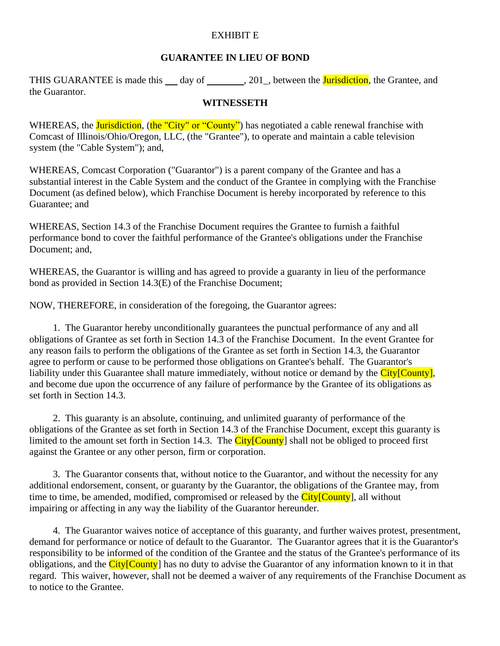## EXHIBIT E

## **GUARANTEE IN LIEU OF BOND**

THIS GUARANTEE is made this  $\_\_\_$  day of  $\_\_\_\_$ , 201 $\_\_\$ , between the **Jurisdiction**, the Grantee, and the Guarantor.

## **WITNESSETH**

WHEREAS, the *Jurisdiction*, (the "City" or "County") has negotiated a cable renewal franchise with Comcast of Illinois/Ohio/Oregon, LLC, (the "Grantee"), to operate and maintain a cable television system (the "Cable System"); and,

WHEREAS, Comcast Corporation ("Guarantor") is a parent company of the Grantee and has a substantial interest in the Cable System and the conduct of the Grantee in complying with the Franchise Document (as defined below), which Franchise Document is hereby incorporated by reference to this Guarantee; and

WHEREAS, Section 14.3 of the Franchise Document requires the Grantee to furnish a faithful performance bond to cover the faithful performance of the Grantee's obligations under the Franchise Document; and,

WHEREAS, the Guarantor is willing and has agreed to provide a guaranty in lieu of the performance bond as provided in Section 14.3(E) of the Franchise Document;

NOW, THEREFORE, in consideration of the foregoing, the Guarantor agrees:

1. The Guarantor hereby unconditionally guarantees the punctual performance of any and all obligations of Grantee as set forth in Section 14.3 of the Franchise Document. In the event Grantee for any reason fails to perform the obligations of the Grantee as set forth in Section 14.3, the Guarantor agree to perform or cause to be performed those obligations on Grantee's behalf. The Guarantor's liability under this Guarantee shall mature immediately, without notice or demand by the City[County], and become due upon the occurrence of any failure of performance by the Grantee of its obligations as set forth in Section 14.3.

2. This guaranty is an absolute, continuing, and unlimited guaranty of performance of the obligations of the Grantee as set forth in Section 14.3 of the Franchise Document, except this guaranty is limited to the amount set forth in Section 14.3. The  $City[Country]$  shall not be obliged to proceed first against the Grantee or any other person, firm or corporation.

3. The Guarantor consents that, without notice to the Guarantor, and without the necessity for any additional endorsement, consent, or guaranty by the Guarantor, the obligations of the Grantee may, from time to time, be amended, modified, compromised or released by the City[County], all without impairing or affecting in any way the liability of the Guarantor hereunder.

4. The Guarantor waives notice of acceptance of this guaranty, and further waives protest, presentment, demand for performance or notice of default to the Guarantor. The Guarantor agrees that it is the Guarantor's responsibility to be informed of the condition of the Grantee and the status of the Grantee's performance of its obligations, and the City[County] has no duty to advise the Guarantor of any information known to it in that regard. This waiver, however, shall not be deemed a waiver of any requirements of the Franchise Document as to notice to the Grantee.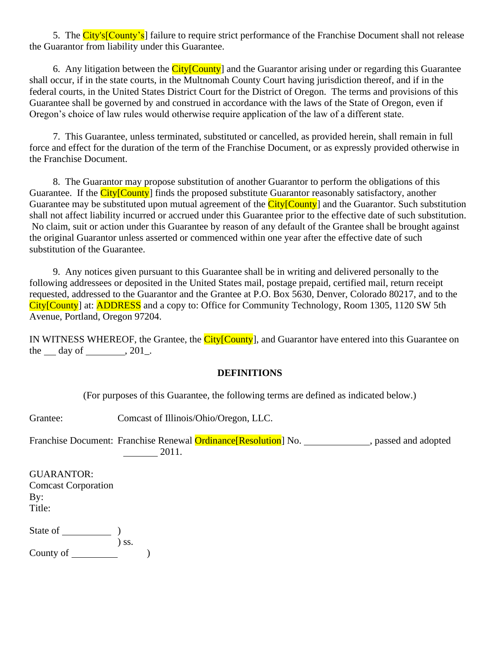5. The City's<sup>[County's]</sup> failure to require strict performance of the Franchise Document shall not release the Guarantor from liability under this Guarantee.

6. Any litigation between the  $City[Country]$  and the Guarantor arising under or regarding this Guarantee shall occur, if in the state courts, in the Multnomah County Court having jurisdiction thereof, and if in the federal courts, in the United States District Court for the District of Oregon. The terms and provisions of this Guarantee shall be governed by and construed in accordance with the laws of the State of Oregon, even if Oregon's choice of law rules would otherwise require application of the law of a different state.

7. This Guarantee, unless terminated, substituted or cancelled, as provided herein, shall remain in full force and effect for the duration of the term of the Franchise Document, or as expressly provided otherwise in the Franchise Document.

8. The Guarantor may propose substitution of another Guarantor to perform the obligations of this Guarantee. If the City[County] finds the proposed substitute Guarantor reasonably satisfactory, another Guarantee may be substituted upon mutual agreement of the City[County] and the Guarantor. Such substitution shall not affect liability incurred or accrued under this Guarantee prior to the effective date of such substitution. No claim, suit or action under this Guarantee by reason of any default of the Grantee shall be brought against the original Guarantor unless asserted or commenced within one year after the effective date of such substitution of the Guarantee.

9. Any notices given pursuant to this Guarantee shall be in writing and delivered personally to the following addressees or deposited in the United States mail, postage prepaid, certified mail, return receipt requested, addressed to the Guarantor and the Grantee at P.O. Box 5630, Denver, Colorado 80217, and to the City[County] at: **ADDRESS** and a copy to: Office for Community Technology, Room 1305, 1120 SW 5th Avenue, Portland, Oregon 97204.

IN WITNESS WHEREOF, the Grantee, the City[County], and Guarantor have entered into this Guarantee on the day of , 201.

## **DEFINITIONS**

(For purposes of this Guarantee, the following terms are defined as indicated below.)

Grantee: Comcast of Illinois/Ohio/Oregon, LLC.

Franchise Document: Franchise Renewal **Ordinance**[Resolution] No. , passed and adopted 2011.

GUARANTOR: Comcast Corporation By: Title:

State of  $\qquad \qquad$  ) ) ss. County of  $\qquad \qquad$  )